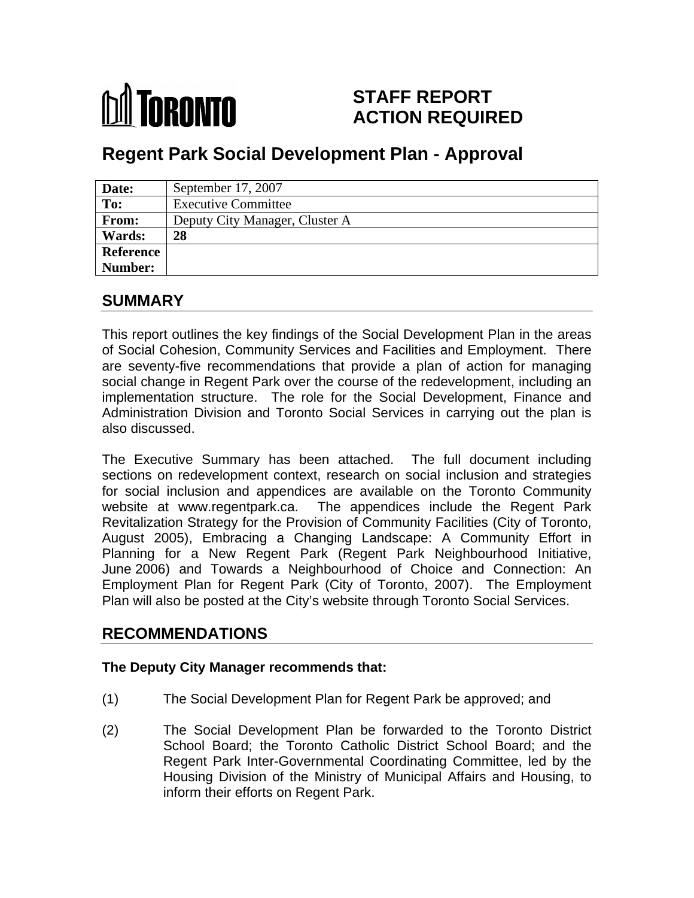# **MI** TORONTO

# **STAFF REPORT ACTION REQUIRED**

# **Regent Park Social Development Plan - Approval**

| Date:     | September 17, 2007             |
|-----------|--------------------------------|
| To:       | <b>Executive Committee</b>     |
| From:     | Deputy City Manager, Cluster A |
| Wards:    | 28                             |
| Reference |                                |
| Number:   |                                |

# **SUMMARY**

This report outlines the key findings of the Social Development Plan in the areas of Social Cohesion, Community Services and Facilities and Employment. There are seventy-five recommendations that provide a plan of action for managing social change in Regent Park over the course of the redevelopment, including an implementation structure. The role for the Social Development, Finance and Administration Division and Toronto Social Services in carrying out the plan is also discussed.

The Executive Summary has been attached. The full document including sections on redevelopment context, research on social inclusion and strategies for social inclusion and appendices are available on the Toronto Community website at www.regentpark.ca. The appendices include the Regent Park Revitalization Strategy for the Provision of Community Facilities (City of Toronto, August 2005), Embracing a Changing Landscape: A Community Effort in Planning for a New Regent Park (Regent Park Neighbourhood Initiative, June 2006) and Towards a Neighbourhood of Choice and Connection: An Employment Plan for Regent Park (City of Toronto, 2007). The Employment Plan will also be posted at the City's website through Toronto Social Services.

## **RECOMMENDATIONS**

#### **The Deputy City Manager recommends that:**

- (1) The Social Development Plan for Regent Park be approved; and
- (2) The Social Development Plan be forwarded to the Toronto District School Board; the Toronto Catholic District School Board; and the Regent Park Inter-Governmental Coordinating Committee, led by the Housing Division of the Ministry of Municipal Affairs and Housing, to inform their efforts on Regent Park.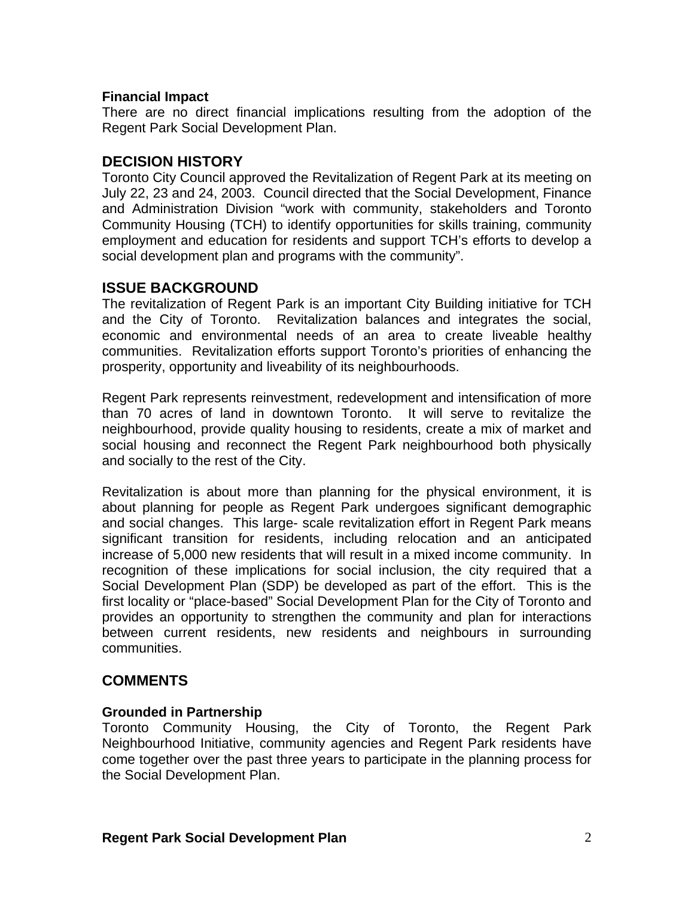#### **Financial Impact**

There are no direct financial implications resulting from the adoption of the Regent Park Social Development Plan.

#### **DECISION HISTORY**

Toronto City Council approved the Revitalization of Regent Park at its meeting on July 22, 23 and 24, 2003. Council directed that the Social Development, Finance and Administration Division "work with community, stakeholders and Toronto Community Housing (TCH) to identify opportunities for skills training, community employment and education for residents and support TCH's efforts to develop a social development plan and programs with the community".

#### **ISSUE BACKGROUND**

The revitalization of Regent Park is an important City Building initiative for TCH and the City of Toronto. Revitalization balances and integrates the social, economic and environmental needs of an area to create liveable healthy communities. Revitalization efforts support Toronto's priorities of enhancing the prosperity, opportunity and liveability of its neighbourhoods.

Regent Park represents reinvestment, redevelopment and intensification of more than 70 acres of land in downtown Toronto. It will serve to revitalize the neighbourhood, provide quality housing to residents, create a mix of market and social housing and reconnect the Regent Park neighbourhood both physically and socially to the rest of the City.

Revitalization is about more than planning for the physical environment, it is about planning for people as Regent Park undergoes significant demographic and social changes. This large- scale revitalization effort in Regent Park means significant transition for residents, including relocation and an anticipated increase of 5,000 new residents that will result in a mixed income community. In recognition of these implications for social inclusion, the city required that a Social Development Plan (SDP) be developed as part of the effort. This is the first locality or "place-based" Social Development Plan for the City of Toronto and provides an opportunity to strengthen the community and plan for interactions between current residents, new residents and neighbours in surrounding communities.

### **COMMENTS**

#### **Grounded in Partnership**

Toronto Community Housing, the City of Toronto, the Regent Park Neighbourhood Initiative, community agencies and Regent Park residents have come together over the past three years to participate in the planning process for the Social Development Plan.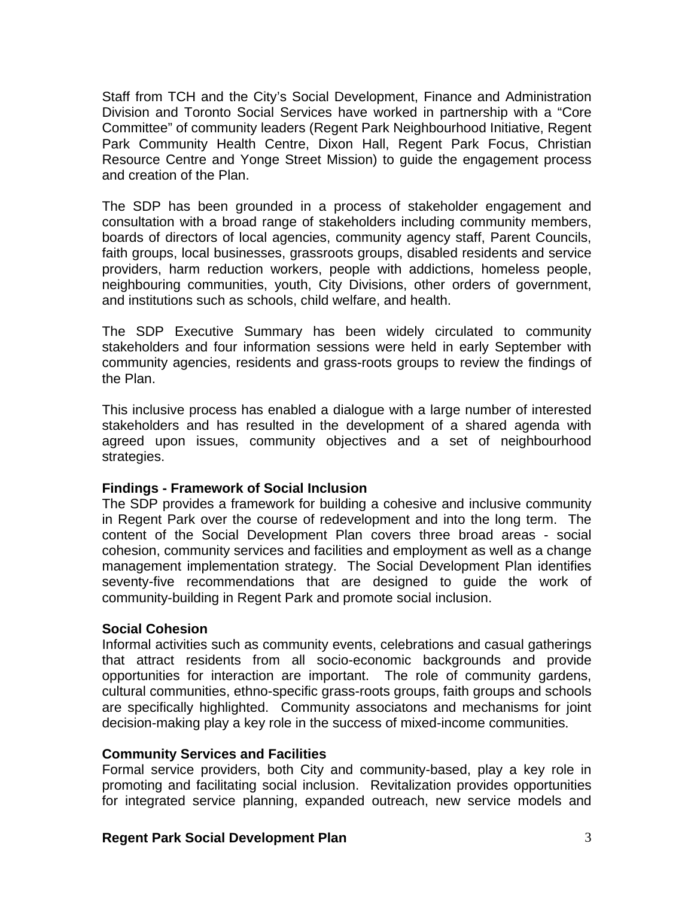Staff from TCH and the City's Social Development, Finance and Administration Division and Toronto Social Services have worked in partnership with a "Core Committee" of community leaders (Regent Park Neighbourhood Initiative, Regent Park Community Health Centre, Dixon Hall, Regent Park Focus, Christian Resource Centre and Yonge Street Mission) to guide the engagement process and creation of the Plan.

The SDP has been grounded in a process of stakeholder engagement and consultation with a broad range of stakeholders including community members, boards of directors of local agencies, community agency staff, Parent Councils, faith groups, local businesses, grassroots groups, disabled residents and service providers, harm reduction workers, people with addictions, homeless people, neighbouring communities, youth, City Divisions, other orders of government, and institutions such as schools, child welfare, and health.

The SDP Executive Summary has been widely circulated to community stakeholders and four information sessions were held in early September with community agencies, residents and grass-roots groups to review the findings of the Plan.

This inclusive process has enabled a dialogue with a large number of interested stakeholders and has resulted in the development of a shared agenda with agreed upon issues, community objectives and a set of neighbourhood strategies. **Example 2008** Strategies and the strategies of the strategies and the strategies of the strategies of the strategies of the strategies of the strategies of the strategies of the strategies of the strategies of

#### **Findings - Framework of Social Inclusion**

The SDP provides a framework for building a cohesive and inclusive community in Regent Park over the course of redevelopment and into the long term. The content of the Social Development Plan covers three broad areas - social cohesion, community services and facilities and employment as well as a change management implementation strategy. The Social Development Plan identifies seventy-five recommendations that are designed to guide the work of community-building in Regent Park and promote social inclusion.

#### **Social Cohesion**

Informal activities such as community events, celebrations and casual gatherings that attract residents from all socio-economic backgrounds and provide opportunities for interaction are important. The role of community gardens, cultural communities, ethno-specific grass-roots groups, faith groups and schools are specifically highlighted. Community associatons and mechanisms for joint decision-making play a key role in the success of mixed-income communities.

#### **Community Services and Facilities**

Formal service providers, both City and community-based, play a key role in promoting and facilitating social inclusion. Revitalization provides opportunities for integrated service planning, expanded outreach, new service models and

#### **Regent Park Social Development Plan** 3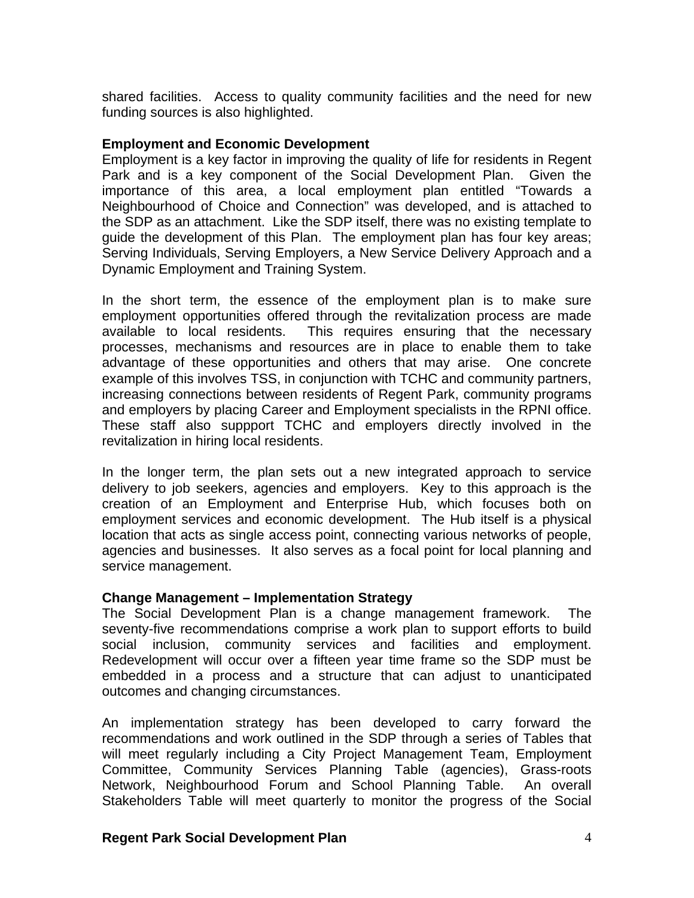shared facilities. Access to quality community facilities and the need for new funding sources is also highlighted.

#### **Employment and Economic Development**

Employment is a key factor in improving the qualityof life for residents in Regent Park and is a key component of the Social Development Plan. Given the importance of this area, a local employment plan entitled "Towards a Neighbourhood of Choice and Connection" was developed, and is attached to the SDP as an attachment. Like the SDP itself, there was no existing template to guide the development of this Plan. The employment plan has four key areas; Serving Individuals, Serving Employers, a New Service Delivery Approach and a Dynamic Employment and Training System.

In the short term, the essence of the employment plan is to make sure employment opportunities offered through the revitalization process are made available to local residents. This requires ensuring that the necessary processes, mechanisms and resources are in place to enable them to take advantage of these opportunities and others that may arise. One concrete example of this involves TSS, in conjunction with TCHC and community partners, increasing connections between residents of Regent Park, community programs and employers by placing Career and Employment specialists in the RPNI office. These staff also suppport TCHC and employers directly involved in the revitalization in hiring local residents.

In the longer term, the plan sets out a new integrated approach to service delivery to job seekers, agencies and employers. Key to this approach is the creation of an Employment and Enterprise Hub, which focuses both on employment services and economic development. The Hub itself is a physical location that acts as single access point, connecting various networks of people, agencies and businesses. It also serves as a focal point for local planning and service management.

#### **Change Management – Implementation Strategy**

The Social Development Plan is a change management framework. The seventy-five recommendations comprise a work plan to support efforts to build social inclusion, community services and facilities and employment. Redevelopment will occur over a fifteen year time frame so the SDP must be embedded in a process and a structure that can adjust to unanticipated outcomes and changing circumstances.

An implementation strategy has been developed to carry forward the recommendations and work outlined in the SDP through a series of Tables that will meet regularly including a City Project Management Team, Employment Committee, Community Services Planning Table (agencies), Grass-roots Network, Neighbourhood Forum and School Planning Table. An overall Stakeholders Table will meet quarterly to monitor the progress of the Social

#### **Regent Park Social Development Plan** 4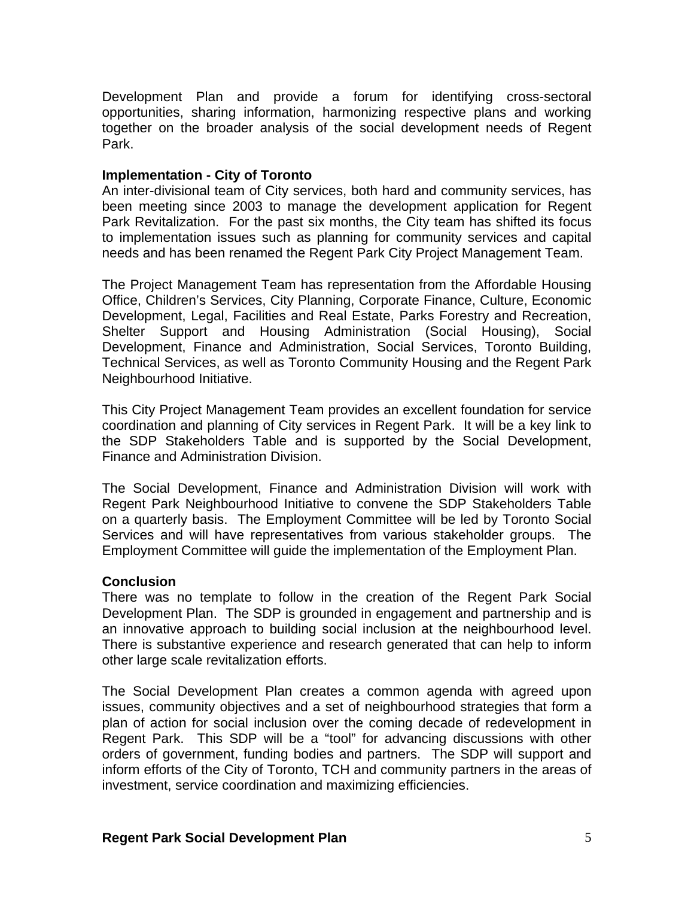Development Plan and provide a forum for identifying cross-sectoral opportunities, sharing information, harmonizing respective plans and working together on the broader analysis of the social development needs of Regent Park.

#### **Implementation - City of Toronto**

An inter-divisional team of City services, both hard and community services, has been meeting since 2003 to manage the development application for Regent Park Revitalization. For the past six months, the City team has shifted its focus to implementation issues such as planning for community services and capital needs and has been renamed the Regent Park City Project Management Team.

The Project Management Team has representation from the Affordable Housing Office, Children's Services, City Planning, Corporate Finance, Culture, Economic Development, Legal, Facilities and Real Estate, Parks Forestry and Recreation, Shelter Support and Housing Administration (Social Housing), Social Development, Finance and Administration, Social Services, Toronto Building, Technical Services, as well as Toronto Community Housing and the Regent Park Neighbourhood Initiative.

This City Project Management Team provides an excellent foundation for service coordination and planning of City services in Regent Park. It will be a key link to the SDP Stakeholders Table and is supported by the Social Development, Finance and Administration Division.

The Social Development, Finance and Administration Division will work with Regent Park Neighbourhood Initiative to convene the SDP Stakeholders Table on a quarterly basis. The Employment Committee will be led by Toronto Social Services and will have representatives from various stakeholder groups. The Employment Committee will guide the implementation of the Employment Plan.

#### **Conclusion**

There was no template to follow in the creation of the Regent Park Social Development Plan. The SDP is grounded in engagement and partnership and is an innovative approach to building social inclusion at the neighbourhood level. There is substantive experience and research generated that can help to inform other large scale revitalization efforts.

The Social Development Plan creates a common agenda with agreed upon issues, community objectives and a set of neighbourhood strategies that form a plan of action for social inclusion over the coming decade of redevelopment in Regent Park. This SDP will be a "tool" for advancing discussions with other orders of government, funding bodies and partners. The SDP will support and inform efforts of the City of Toronto, TCH and community partners in the areas of investment, service coordination and maximizing efficiencies.